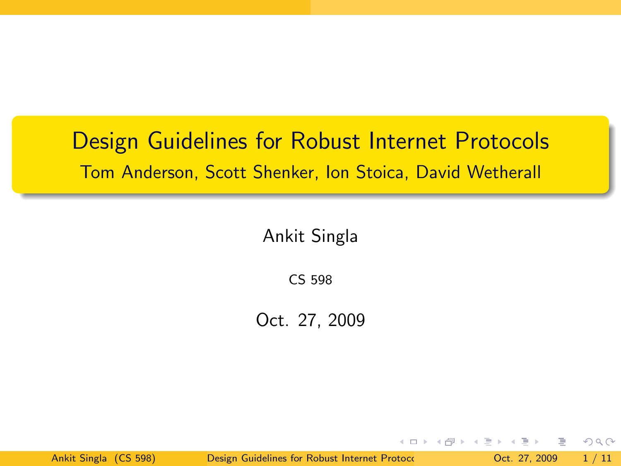## Design Guidelines for Robust Internet Protocols Tom Anderson, Scott Shenker, Ion Stoica, David Wetherall

Ankit Singla

CS 598

Oct. 27, 2009

Ankit Singla (CS 598) [Design Guidelines for Robust Internet Protocols](#page-10-0) Corp. 27, 2009 1/11

B

<span id="page-0-0"></span> $QQ$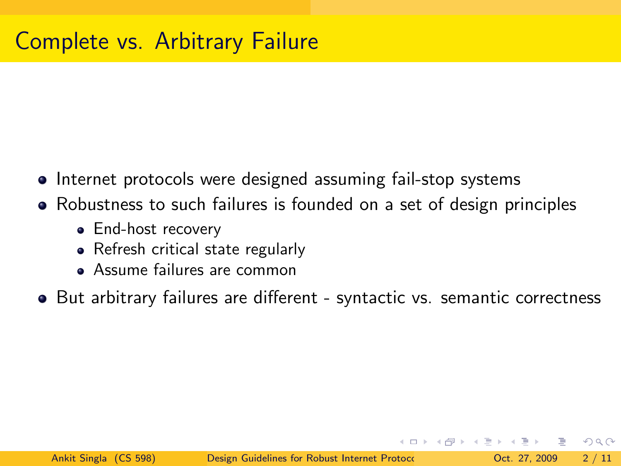- Internet protocols were designed assuming fail-stop systems
- Robustness to such failures is founded on a set of design principles
	- End-host recovery
	- Refresh critical state regularly
	- Assume failures are common
- But arbitrary failures are different syntactic vs. semantic correctness

 $\Omega$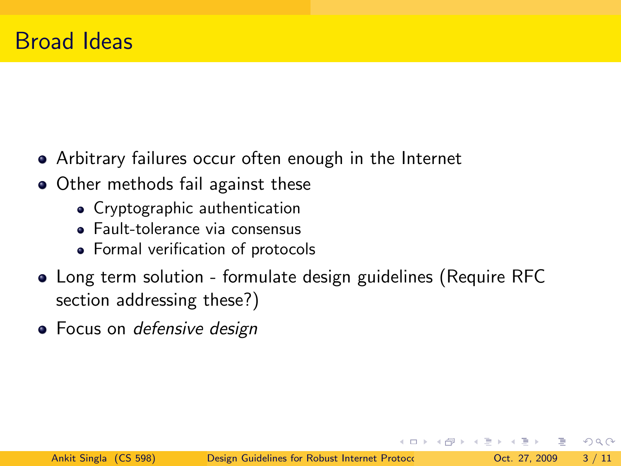- Arbitrary failures occur often enough in the Internet
- Other methods fail against these
	- Cryptographic authentication
	- Fault-tolerance via consensus
	- Formal verification of protocols
- Long term solution formulate design guidelines (Require RFC section addressing these?)
- **•** Focus on defensive design

 $\Omega$ 

 $\left\{ \left\vert \left\langle \mathbf{q} \right\rangle \right\vert \times \left\langle \mathbf{q} \right\rangle \right\} \times \left\{ \left\vert \mathbf{q} \right\rangle \right\}$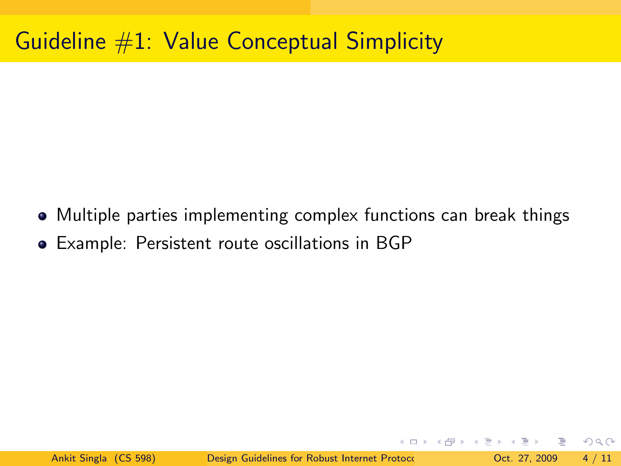# Guideline #1: Value Conceptual Simplicity

- Multiple parties implementing complex functions can break things
- Example: Persistent route oscillations in BGP

イロト イ母 トイミト イミト ニヨー りんぴ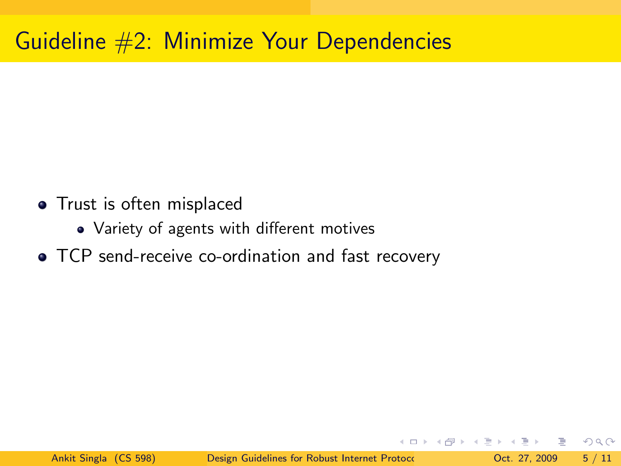# Guideline #2: Minimize Your Dependencies

- Trust is often misplaced
	- Variety of agents with different motives
- TCP send-receive co-ordination and fast recovery

K □ ▶ K @ ▶ K ミ ▶ K ミ ▶ │ 큰 │ ◆ 9 Q ⊙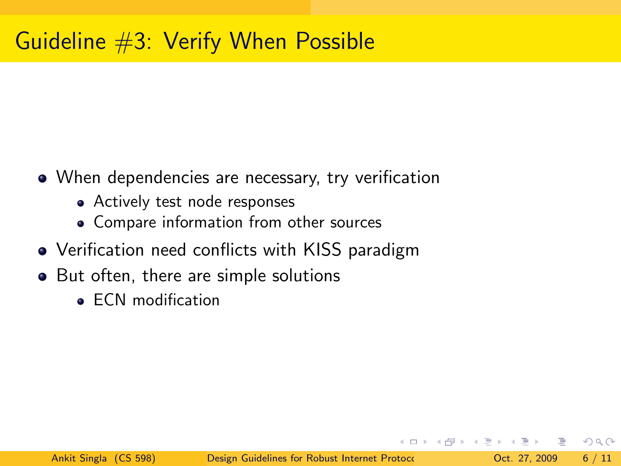# Guideline #3: Verify When Possible

- When dependencies are necessary, try verification
	- Actively test node responses
	- Compare information from other sources
- Verification need conflicts with KISS paradigm
- But often, there are simple solutions
	- **ECN** modification

 $\equiv$   $\cap$   $\alpha$ 

- 4 何 ト 4 ヨ ト 4 ヨ ト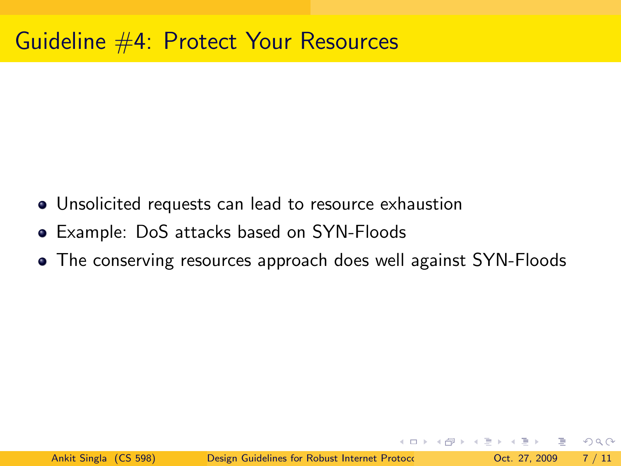#### Guideline #4: Protect Your Resources

- Unsolicited requests can lead to resource exhaustion
- Example: DoS attacks based on SYN-Floods
- The conserving resources approach does well against SYN-Floods

KEL KALE KEL KEL KAR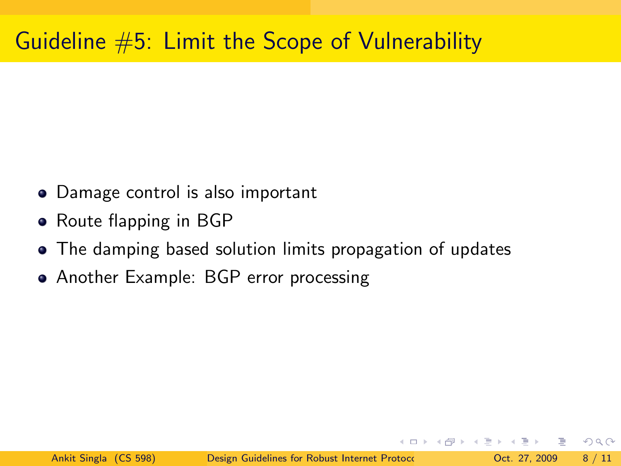## Guideline  $#5$ : Limit the Scope of Vulnerability

- Damage control is also important
- Route flapping in BGP
- The damping based solution limits propagation of updates
- Another Example: BGP error processing

イタト イミト イミト・コー つなべ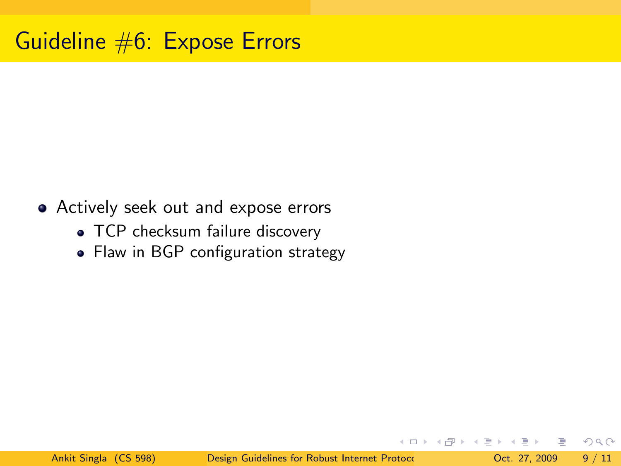- Actively seek out and expose errors
	- TCP checksum failure discovery
	- Flaw in BGP configuration strategy

 $QQ$ 

**K ロ ト K 何 ト K ヨ ト K**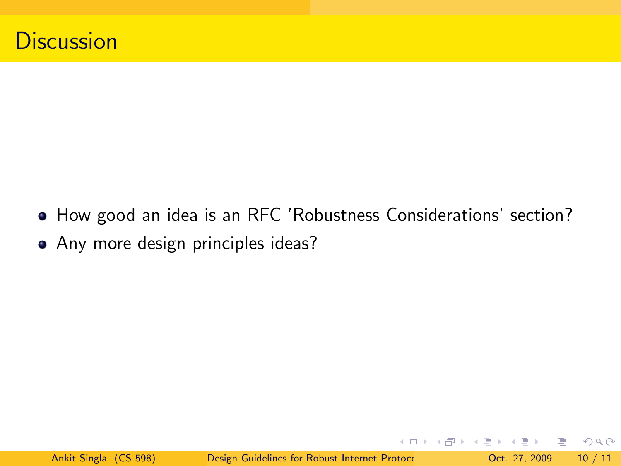- How good an idea is an RFC 'Robustness Considerations' section?
- Any more design principles ideas?

**←ロト ←何ト ←ヨト** 

 $\Rightarrow$   $\rightarrow$ 

 $\equiv$   $\Omega$